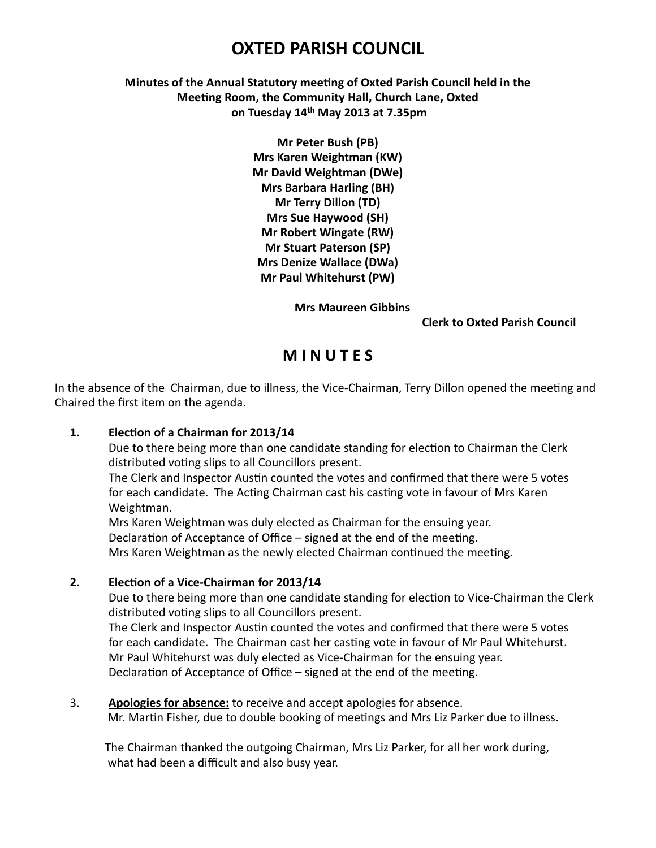# **OXTED PARISH COUNCIL**

**Minutes of the Annual Statutory meeting of Oxted Parish Council held in the Meeting Room, the Community Hall, Church Lane, Oxted on Tuesday 14th May 2013 at 7.35pm**

> **Mr Peter Bush (PB) Mrs Karen Weightman (KW) Mr David Weightman (DWe) Mrs Barbara Harling (BH) Mr Terry Dillon (TD) Mrs Sue Haywood (SH) Mr Robert Wingate (RW) Mr Stuart Paterson (SP) Mrs Denize Wallace (DWa) Mr Paul Whitehurst (PW)**

> > **Mrs Maureen Gibbins**

#### **Clerk to Oxted Parish Council**

## **MINUTES**

In the absence of the Chairman, due to illness, the Vice-Chairman, Terry Dillon opened the meeting and Chaired the first item on the agenda.

## 1. **Election of a Chairman for 2013/14**

Due to there being more than one candidate standing for election to Chairman the Clerk distributed voting slips to all Councillors present.

The Clerk and Inspector Austin counted the votes and confirmed that there were 5 votes for each candidate. The Acting Chairman cast his casting vote in favour of Mrs Karen Weightman. 

Mrs Karen Weightman was duly elected as Chairman for the ensuing year. Declaration of Acceptance of Office – signed at the end of the meeting. Mrs Karen Weightman as the newly elected Chairman continued the meeting.

## **2. Election of a Vice-Chairman for 2013/14**

Due to there being more than one candidate standing for election to Vice-Chairman the Clerk distributed voting slips to all Councillors present.

The Clerk and Inspector Austin counted the votes and confirmed that there were 5 votes for each candidate. The Chairman cast her casting vote in favour of Mr Paul Whitehurst. Mr Paul Whitehurst was duly elected as Vice-Chairman for the ensuing year. Declaration of Acceptance of Office – signed at the end of the meeting.

3. **Apologies for absence:** to receive and accept apologies for absence. Mr. Martin Fisher, due to double booking of meetings and Mrs Liz Parker due to illness.

The Chairman thanked the outgoing Chairman, Mrs Liz Parker, for all her work during, what had been a difficult and also busy year.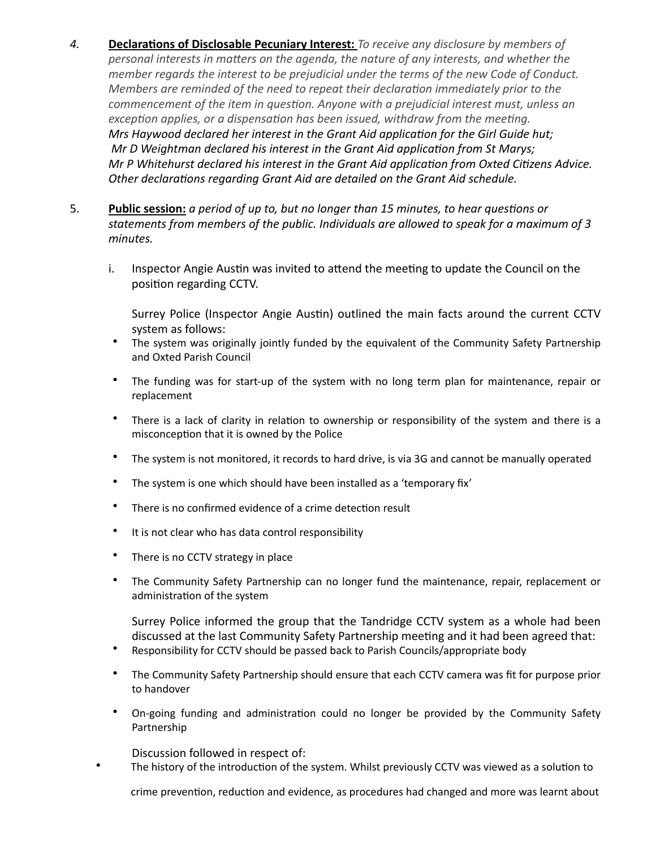- 4. **Declarations of Disclosable Pecuniary Interest:** To receive any disclosure by members of *personal interests in matters on the agenda, the nature of any interests, and whether the member regards the interest to be prejudicial under the terms of the new Code of Conduct. Members are reminded of the need to repeat their declaration immediately prior to the commencement of the item in question. Anyone with a prejudicial interest must, unless an exception applies, or a dispensation has been issued, withdraw from the meeting. Mrs Haywood declared her interest in the Grant Aid application for the Girl Guide hut; Mr D Weightman declared his interest in the Grant Aid application from St Marys; Mr P Whitehurst declared his interest in the Grant Aid application from Oxted Citizens Advice.* Other declarations regarding Grant Aid are detailed on the Grant Aid schedule.
- 5. **Public session:** *a period of up to, but no longer than 15 minutes, to hear questions or* statements from members of the public. Individuals are allowed to speak for a maximum of 3 *minutes.*
	- i. Inspector Angie Austin was invited to attend the meeting to update the Council on the position regarding CCTV.

Surrey Police (Inspector Angie Austin) outlined the main facts around the current CCTV system as follows:

- The system was originally jointly funded by the equivalent of the Community Safety Partnership and Oxted Parish Council
- The funding was for start-up of the system with no long term plan for maintenance, repair or replacement
- There is a lack of clarity in relation to ownership or responsibility of the system and there is a misconception that it is owned by the Police
- The system is not monitored, it records to hard drive, is via 3G and cannot be manually operated
- The system is one which should have been installed as a 'temporary fix'
- There is no confirmed evidence of a crime detection result
- It is not clear who has data control responsibility
- There is no CCTV strategy in place
- The Community Safety Partnership can no longer fund the maintenance, repair, replacement or administration of the system

Surrey Police informed the group that the Tandridge CCTV system as a whole had been discussed at the last Community Safety Partnership meeting and it had been agreed that:

- Responsibility for CCTV should be passed back to Parish Councils/appropriate body
- The Community Safety Partnership should ensure that each CCTV camera was fit for purpose prior to handover
- On-going funding and administration could no longer be provided by the Community Safety Partnership

Discussion followed in respect of:

• The history of the introduction of the system. Whilst previously CCTV was viewed as a solution to

crime prevention, reduction and evidence, as procedures had changed and more was learnt about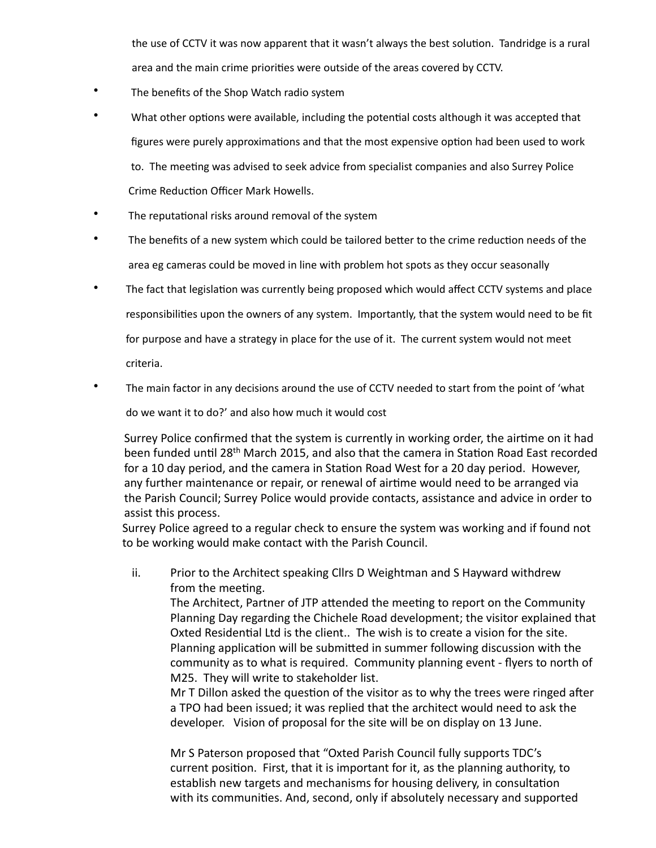the use of CCTV it was now apparent that it wasn't always the best solution. Tandridge is a rural area and the main crime priorities were outside of the areas covered by CCTV.

- The benefits of the Shop Watch radio system
- What other options were available, including the potential costs although it was accepted that figures were purely approximations and that the most expensive option had been used to work to. The meeting was advised to seek advice from specialist companies and also Surrey Police Crime Reduction Officer Mark Howells.
- The reputational risks around removal of the system
- The benefits of a new system which could be tailored better to the crime reduction needs of the area eg cameras could be moved in line with problem hot spots as they occur seasonally
- The fact that legislation was currently being proposed which would affect CCTV systems and place responsibilities upon the owners of any system. Importantly, that the system would need to be fit for purpose and have a strategy in place for the use of it. The current system would not meet criteria.
- The main factor in any decisions around the use of CCTV needed to start from the point of 'what

do we want it to do?' and also how much it would cost

Surrey Police confirmed that the system is currently in working order, the airtime on it had been funded until 28<sup>th</sup> March 2015, and also that the camera in Station Road East recorded for a 10 day period, and the camera in Station Road West for a 20 day period. However, any further maintenance or repair, or renewal of airtime would need to be arranged via the Parish Council; Surrey Police would provide contacts, assistance and advice in order to assist this process.

Surrey Police agreed to a regular check to ensure the system was working and if found not to be working would make contact with the Parish Council.

ii. Prior to the Architect speaking Cllrs D Weightman and S Hayward withdrew from the meeting.

The Architect, Partner of JTP attended the meeting to report on the Community Planning Day regarding the Chichele Road development; the visitor explained that Oxted Residential Ltd is the client.. The wish is to create a vision for the site. Planning application will be submitted in summer following discussion with the community as to what is required. Community planning event - flyers to north of M25. They will write to stakeholder list.

Mr  $T$  Dillon asked the question of the visitor as to why the trees were ringed after a TPO had been issued; it was replied that the architect would need to ask the developer. Vision of proposal for the site will be on display on 13 June.

Mr S Paterson proposed that "Oxted Parish Council fully supports TDC's current position. First, that it is important for it, as the planning authority, to establish new targets and mechanisms for housing delivery, in consultation with its communities. And, second, only if absolutely necessary and supported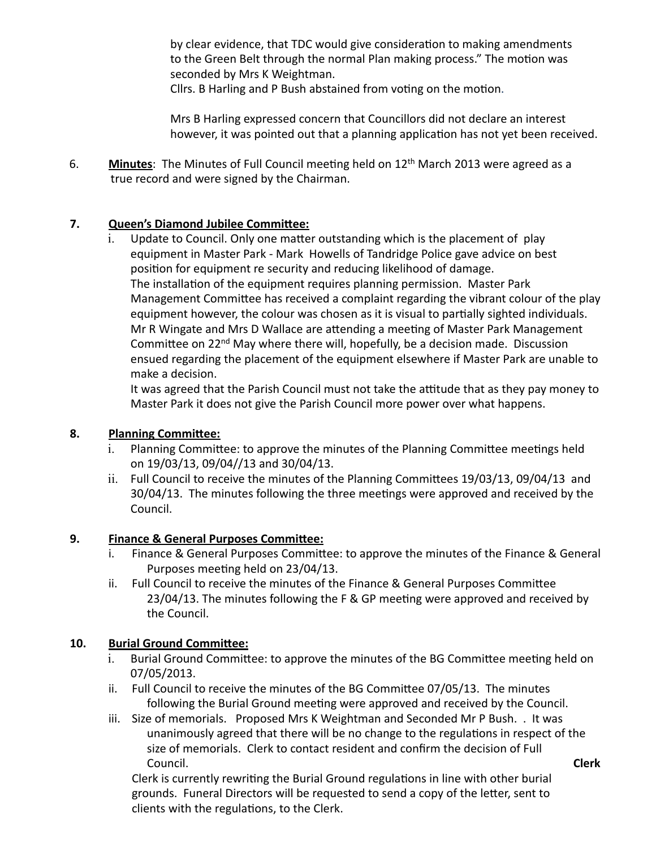by clear evidence, that TDC would give consideration to making amendments to the Green Belt through the normal Plan making process." The motion was seconded by Mrs K Weightman.

Cllrs. B Harling and P Bush abstained from voting on the motion.

Mrs B Harling expressed concern that Councillors did not declare an interest however, it was pointed out that a planning application has not yet been received.

6. **Minutes**: The Minutes of Full Council meeting held on 12<sup>th</sup> March 2013 were agreed as a true record and were signed by the Chairman.

## **7.** Queen's Diamond Jubilee Committee:

 $i.$  Update to Council. Only one matter outstanding which is the placement of play equipment in Master Park - Mark Howells of Tandridge Police gave advice on best position for equipment re security and reducing likelihood of damage. The installation of the equipment requires planning permission. Master Park Management Committee has received a complaint regarding the vibrant colour of the play equipment however, the colour was chosen as it is visual to partially sighted individuals. Mr R Wingate and Mrs D Wallace are attending a meeting of Master Park Management Committee on  $22^{nd}$  May where there will, hopefully, be a decision made. Discussion ensued regarding the placement of the equipment elsewhere if Master Park are unable to make a decision.

It was agreed that the Parish Council must not take the attitude that as they pay money to Master Park it does not give the Parish Council more power over what happens.

## **8.** Planning Committee:

- i. Planning Committee: to approve the minutes of the Planning Committee meetings held on 19/03/13, 09/04//13 and 30/04/13.
- ii. Full Council to receive the minutes of the Planning Committees 19/03/13, 09/04/13 and 30/04/13. The minutes following the three meetings were approved and received by the Council.

## **9.** Finance & General Purposes Committee:

- i. Finance & General Purposes Committee: to approve the minutes of the Finance & General Purposes meeting held on 23/04/13.
- ii. Full Council to receive the minutes of the Finance & General Purposes Committee 23/04/13. The minutes following the F & GP meeting were approved and received by the Council.

#### **10. Burial Ground Committee:**

- i. Burial Ground Committee: to approve the minutes of the BG Committee meeting held on 07/05/2013.
- ii. Full Council to receive the minutes of the BG Committee 07/05/13. The minutes following the Burial Ground meeting were approved and received by the Council.
- iii. Size of memorials. Proposed Mrs K Weightman and Seconded Mr P Bush. . It was unanimously agreed that there will be no change to the regulations in respect of the size of memorials. Clerk to contact resident and confirm the decision of Full Council. **Council Council Clerk**

Clerk is currently rewriting the Burial Ground regulations in line with other burial grounds. Funeral Directors will be requested to send a copy of the letter, sent to clients with the regulations, to the Clerk.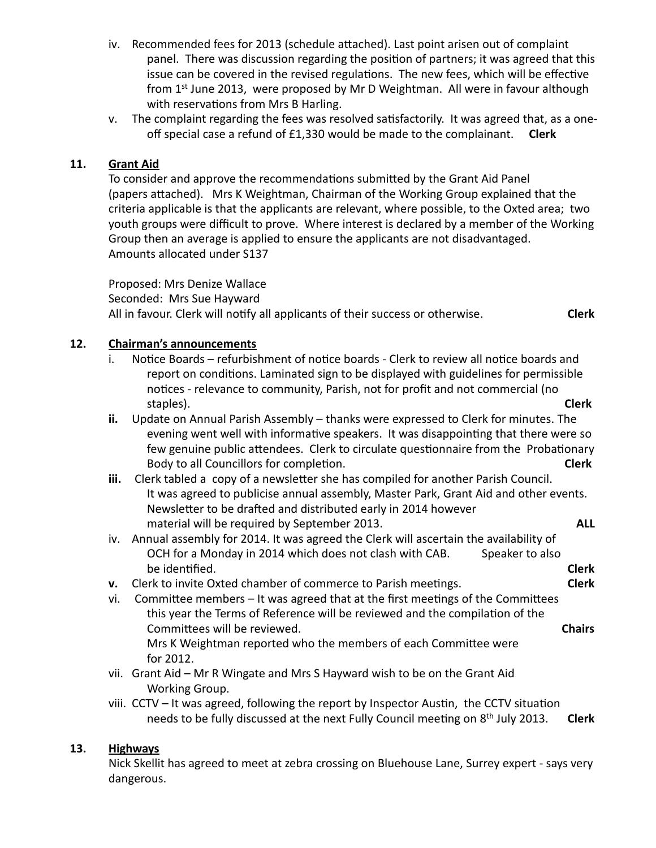- iv. Recommended fees for 2013 (schedule attached). Last point arisen out of complaint panel. There was discussion regarding the position of partners; it was agreed that this issue can be covered in the revised regulations. The new fees, which will be effective from  $1<sup>st</sup>$  June 2013, were proposed by Mr D Weightman. All were in favour although with reservations from Mrs B Harling.
- v. The complaint regarding the fees was resolved satisfactorily. It was agreed that, as a oneoff special case a refund of £1,330 would be made to the complainant. Clerk

#### 11. **Grant Aid**

To consider and approve the recommendations submitted by the Grant Aid Panel (papers attached). Mrs K Weightman, Chairman of the Working Group explained that the criteria applicable is that the applicants are relevant, where possible, to the Oxted area; two youth groups were difficult to prove. Where interest is declared by a member of the Working Group then an average is applied to ensure the applicants are not disadvantaged. Amounts allocated under S137

Proposed: Mrs Denize Wallace Seconded: Mrs Sue Hayward All in favour. Clerk will notify all applicants of their success or otherwise. **Clerk** 

#### 12. Chairman's announcements

- i. Notice Boards refurbishment of notice boards Clerk to review all notice boards and report on conditions. Laminated sign to be displayed with guidelines for permissible notices - relevance to community, Parish, not for profit and not commercial (no staples). **Clerk**
- **ii.** Update on Annual Parish Assembly thanks were expressed to Clerk for minutes. The evening went well with informative speakers. It was disappointing that there were so few genuine public attendees. Clerk to circulate questionnaire from the Probationary Body to all Councillors for completion. **Solution Clerk**
- **iii.** Clerk tabled a copy of a newsletter she has compiled for another Parish Council. It was agreed to publicise annual assembly, Master Park, Grant Aid and other events. Newsletter to be drafted and distributed early in 2014 however material will be required by September 2013. **ALL**
- iv. Annual assembly for 2014. It was agreed the Clerk will ascertain the availability of OCH for a Monday in 2014 which does not clash with CAB. Speaker to also be iden;fied. **Clerk**
- **v.** Clerk to invite Oxted chamber of commerce to Parish meetings. **Clerk**
- vi. Committee members  $-$  It was agreed that at the first meetings of the Committees this year the Terms of Reference will be reviewed and the compilation of the Committees will be reviewed. **The ability of the Chairs Chairs Chairs** Mrs K Weightman reported who the members of each Committee were for 2012.
- vii. Grant Aid Mr R Wingate and Mrs S Hayward wish to be on the Grant Aid Working Group.
- viii.  $CCTV It$  was agreed, following the report by Inspector Austin, the  $CCTV$  situation needs to be fully discussed at the next Fully Council meeting on 8<sup>th</sup> July 2013. Clerk

#### **13. Highways**

Nick Skellit has agreed to meet at zebra crossing on Bluehouse Lane, Surrey expert - says very dangerous.